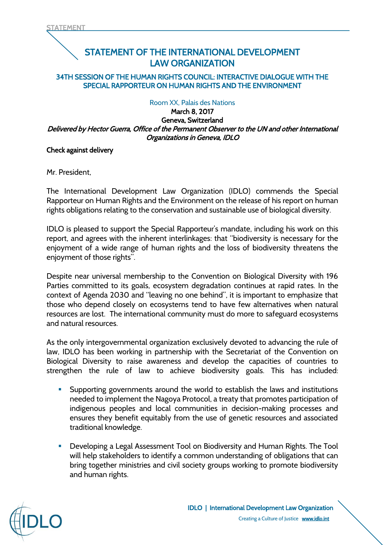# STATEMENT OF THE INTERNATIONAL DEVELOPMENT LAW ORGANIZATION

## 34TH SESSION OF THE HUMAN RIGHTS COUNCIL: INTERACTIVE DIALOGUE WITH THE SPECIAL RAPPORTEUR ON HUMAN RIGHTS AND THE ENVIRONMENT

# Room XX, Palais des Nations

#### March 8, 2017 Geneva, Switzerland Delivered by Hector Guerra, Office of the Permanent Observer to the UN and other International Organizations in Geneva, IDLO

### Check against delivery

Mr. President,

The International Development Law Organization (IDLO) commends the Special Rapporteur on Human Rights and the Environment on the release of his report on human rights obligations relating to the conservation and sustainable use of biological diversity.

IDLO is pleased to support the Special Rapporteur's mandate, including his work on this report, and agrees with the inherent interlinkages: that "biodiversity is necessary for the enjoyment of a wide range of human rights and the loss of biodiversity threatens the enjoyment of those rights".

Despite near universal membership to the Convention on Biological Diversity with 196 Parties committed to its goals, ecosystem degradation continues at rapid rates. In the context of Agenda 2030 and "leaving no one behind", it is important to emphasize that those who depend closely on ecosystems tend to have few alternatives when natural resources are lost. The international community must do more to safeguard ecosystems and natural resources.

As the only intergovernmental organization exclusively devoted to advancing the rule of law, IDLO has been working in partnership with the Secretariat of the Convention on Biological Diversity to raise awareness and develop the capacities of countries to strengthen the rule of law to achieve biodiversity goals. This has included:

- **Supporting governments around the world to establish the laws and institutions** needed to implement the Nagoya Protocol, a treaty that promotes participation of indigenous peoples and local communities in decision-making processes and ensures they benefit equitably from the use of genetic resources and associated traditional knowledge.
- Developing a Legal Assessment Tool on Biodiversity and Human Rights. The Tool will help stakeholders to identify a common understanding of obligations that can bring together ministries and civil society groups working to promote biodiversity and human rights.